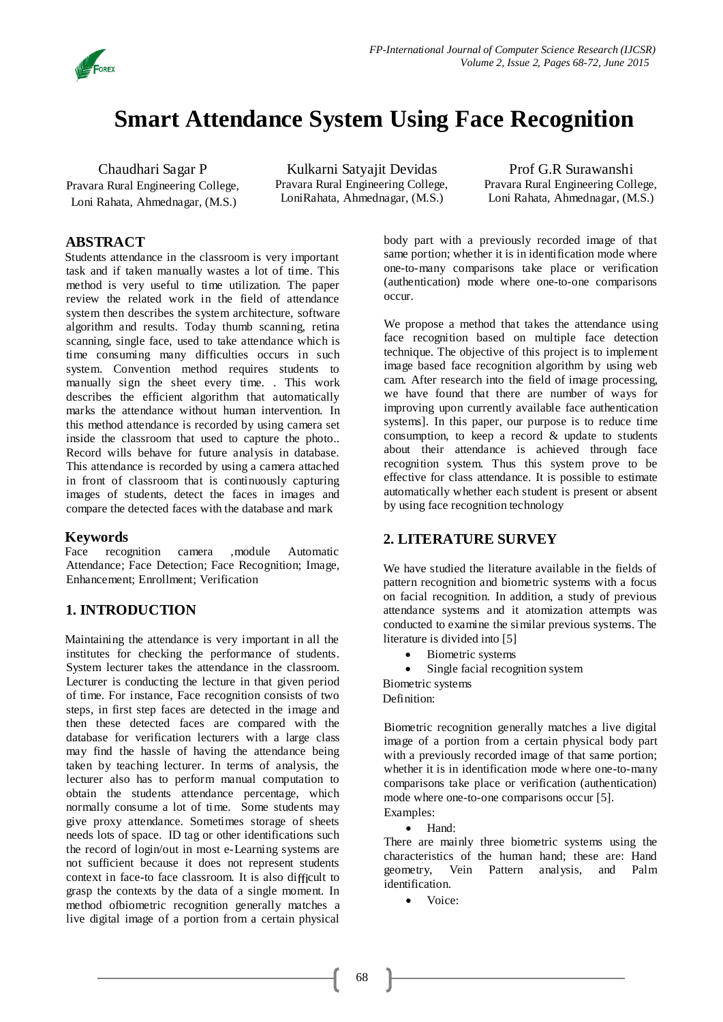

# **Smart Attendance System Using Face Recognition**

Chaudhari Sagar P Pravara Rural Engineering College, Loni Rahata, Ahmednagar, (M.S.)

Kulkarni Satyajit Devidas Pravara Rural Engineering College, LoniRahata, Ahmednagar, (M.S.)

Prof G.R Surawanshi Pravara Rural Engineering College, Loni Rahata, Ahmednagar, (M.S.)

# **ABSTRACT**

Students attendance in the classroom is very important task and if taken manually wastes a lot of time. This method is very useful to time utilization. The paper review the related work in the field of attendance system then describes the system architecture, software algorithm and results. Today thumb scanning, retina scanning, single face, used to take attendance which is time consuming many difficulties occurs in such system. Convention method requires students to manually sign the sheet every time. . This work describes the efficient algorithm that automatically marks the attendance without human intervention. In this method attendance is recorded by using camera set inside the classroom that used to capture the photo.. Record wills behave for future analysis in database. This attendance is recorded by using a camera attached in front of classroom that is continuously capturing images of students, detect the faces in images and compare the detected faces with the database and mark

# **Keywords**

Face recognition camera ,module Automatic Attendance; Face Detection; Face Recognition; Image, Enhancement; Enrollment; Verification

# **1. INTRODUCTION**

Maintaining the attendance is very important in all the institutes for checking the performance of students. System lecturer takes the attendance in the classroom. Lecturer is conducting the lecture in that given period of time. For instance, Face recognition consists of two steps, in first step faces are detected in the image and then these detected faces are compared with the database for verification lecturers with a large class may find the hassle of having the attendance being taken by teaching lecturer. In terms of analysis, the lecturer also has to perform manual computation to obtain the students attendance percentage, which normally consume a lot of time. Some students may give proxy attendance. Sometimes storage of sheets needs lots of space. ID tag or other identifications such the record of login/out in most e-Learning systems are not sufficient because it does not represent students context in face-to face classroom. It is also difficult to grasp the contexts by the data of a single moment. In method ofbiometric recognition generally matches a live digital image of a portion from a certain physical

body part with a previously recorded image of that same portion; whether it is in identification mode where one-to-many comparisons take place or verification (authentication) mode where one-to-one comparisons occur.

We propose a method that takes the attendance using face recognition based on multiple face detection technique. The objective of this project is to implement image based face recognition algorithm by using web cam. After research into the field of image processing, we have found that there are number of ways for improving upon currently available face authentication systems]. In this paper, our purpose is to reduce time consumption, to keep a record & update to students about their attendance is achieved through face recognition system. Thus this system prove to be effective for class attendance. It is possible to estimate automatically whether each student is present or absent by using face recognition technology

# **2. LITERATURE SURVEY**

We have studied the literature available in the fields of pattern recognition and biometric systems with a focus on facial recognition. In addition, a study of previous attendance systems and it atomization attempts was conducted to examine the similar previous systems. The literature is divided into [5]

- Biometric systems
- Single facial recognition system

Biometric systems Definition:

Biometric recognition generally matches a live digital image of a portion from a certain physical body part with a previously recorded image of that same portion; whether it is in identification mode where one-to-many comparisons take place or verification (authentication) mode where one-to-one comparisons occur [5]. Examples:

Hand:

There are mainly three biometric systems using the characteristics of the human hand; these are: Hand geometry, Vein Pattern analysis, and Palm identification.

Voice: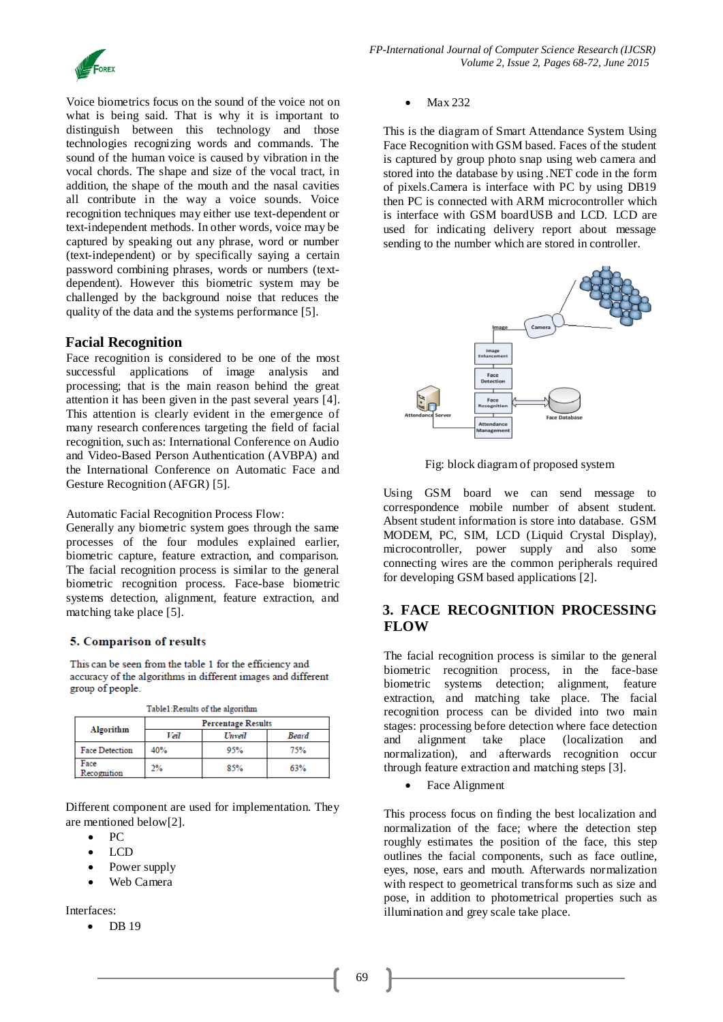

Voice biometrics focus on the sound of the voice not on what is being said. That is why it is important to distinguish between this technology and those technologies recognizing words and commands. The sound of the human voice is caused by vibration in the vocal chords. The shape and size of the vocal tract, in addition, the shape of the mouth and the nasal cavities all contribute in the way a voice sounds. Voice recognition techniques may either use text-dependent or text-independent methods. In other words, voice may be captured by speaking out any phrase, word or number (text-independent) or by specifically saying a certain password combining phrases, words or numbers (textdependent). However this biometric system may be challenged by the background noise that reduces the quality of the data and the systems performance [5].

### **Facial Recognition**

Face recognition is considered to be one of the most successful applications of image analysis and processing; that is the main reason behind the great attention it has been given in the past several years [4]. This attention is clearly evident in the emergence of many research conferences targeting the field of facial recognition, such as: International Conference on Audio and Video-Based Person Authentication (AVBPA) and the International Conference on Automatic Face and Gesture Recognition (AFGR) [5].

Automatic Facial Recognition Process Flow:

Generally any biometric system goes through the same processes of the four modules explained earlier, biometric capture, feature extraction, and comparison. The facial recognition process is similar to the general biometric recognition process. Face-base biometric systems detection, alignment, feature extraction, and matching take place [5].

### 5. Comparison of results

This can be seen from the table 1 for the efficiency and accuracy of the algorithms in different images and different group of people.

Table 1-December of the eleccitive

| Tanter vesures or me argumming |                           |        |              |  |  |  |  |
|--------------------------------|---------------------------|--------|--------------|--|--|--|--|
|                                | <b>Percentage Results</b> |        |              |  |  |  |  |
| Algorithm                      | Veil                      | Unveil | <b>Beard</b> |  |  |  |  |
| <b>Face Detection</b>          | 40%                       | 95%    | 75%          |  |  |  |  |
| Face<br>Recognition            | 2%                        | 85%    | 63%          |  |  |  |  |

Different component are used for implementation. They are mentioned below[2].

- PC
- LCD
- Power supply
- Web Camera

Interfaces:

 $\bullet$  DB 19

Max 232

This is the diagram of Smart Attendance System Using Face Recognition with GSM based. Faces of the student is captured by group photo snap using web camera and stored into the database by using .NET code in the form of pixels.Camera is interface with PC by using DB19 then PC is connected with ARM microcontroller which is interface with GSM boardUSB and LCD. LCD are used for indicating delivery report about message sending to the number which are stored in controller.



Fig: block diagram of proposed system

Using GSM board we can send message to correspondence mobile number of absent student. Absent student information is store into database. GSM MODEM, PC, SIM, LCD (Liquid Crystal Display), microcontroller, power supply and also some connecting wires are the common peripherals required for developing GSM based applications [2].

# **3. FACE RECOGNITION PROCESSING FLOW**

The facial recognition process is similar to the general biometric recognition process, in the face-base biometric systems detection; alignment, feature extraction, and matching take place. The facial recognition process can be divided into two main stages: processing before detection where face detection and alignment take place (localization and normalization), and afterwards recognition occur through feature extraction and matching steps [3].

Face Alignment

This process focus on finding the best localization and normalization of the face; where the detection step roughly estimates the position of the face, this step outlines the facial components, such as face outline, eyes, nose, ears and mouth. Afterwards normalization with respect to geometrical transforms such as size and pose, in addition to photometrical properties such as illumination and grey scale take place.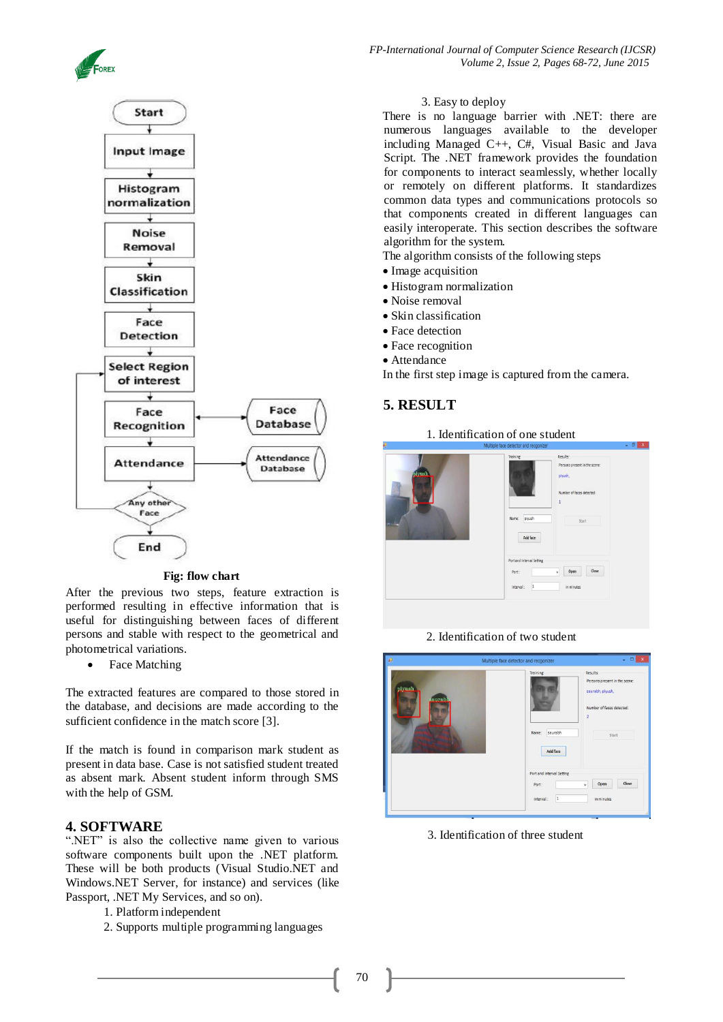



#### **Fig: flow chart**

After the previous two steps, feature extraction is performed resulting in effective information that is useful for distinguishing between faces of different persons and stable with respect to the geometrical and photometrical variations.

Face Matching

The extracted features are compared to those stored in the database, and decisions are made according to the sufficient confidence in the match score [3].

If the match is found in comparison mark student as present in data base. Case is not satisfied student treated as absent mark. Absent student inform through SMS with the help of GSM.

### **4. SOFTWARE**

".NET" is also the collective name given to various software components built upon the .NET platform. These will be both products (Visual Studio.NET and Windows.NET Server, for instance) and services (like Passport, .NET My Services, and so on).

- 1. Platform independent
- 2. Supports multiple programming languages

#### 3. Easy to deploy

There is no language barrier with .NET: there are numerous languages available to the developer including Managed C++, C#, Visual Basic and Java Script. The .NET framework provides the foundation for components to interact seamlessly, whether locally or remotely on different platforms. It standardizes common data types and communications protocols so that components created in different languages can easily interoperate. This section describes the software algorithm for the system.

- The algorithm consists of the following steps
- Image acquisition
- Histogram normalization
- Noise removal
- Skin classification
- Face detection
- Face recognition
- Attendance

In the first step image is captured from the camera.

# **5. RESULT**

### 1. Identification of one student

|        | Training:<br>Results:<br>Persons present in the scene:                                           |
|--------|--------------------------------------------------------------------------------------------------|
| piyush | plyush,<br>the contract of the contract of<br>Number of faces detected:<br>Name: plyush<br>Start |
|        | Add face<br>Port and Interval Setting<br>Close<br>Open<br>Port:<br>$\checkmark$                  |
|        | in minutes<br>interval:<br>$\vert$ 1                                                             |

2. Identification of two student



3. Identification of three student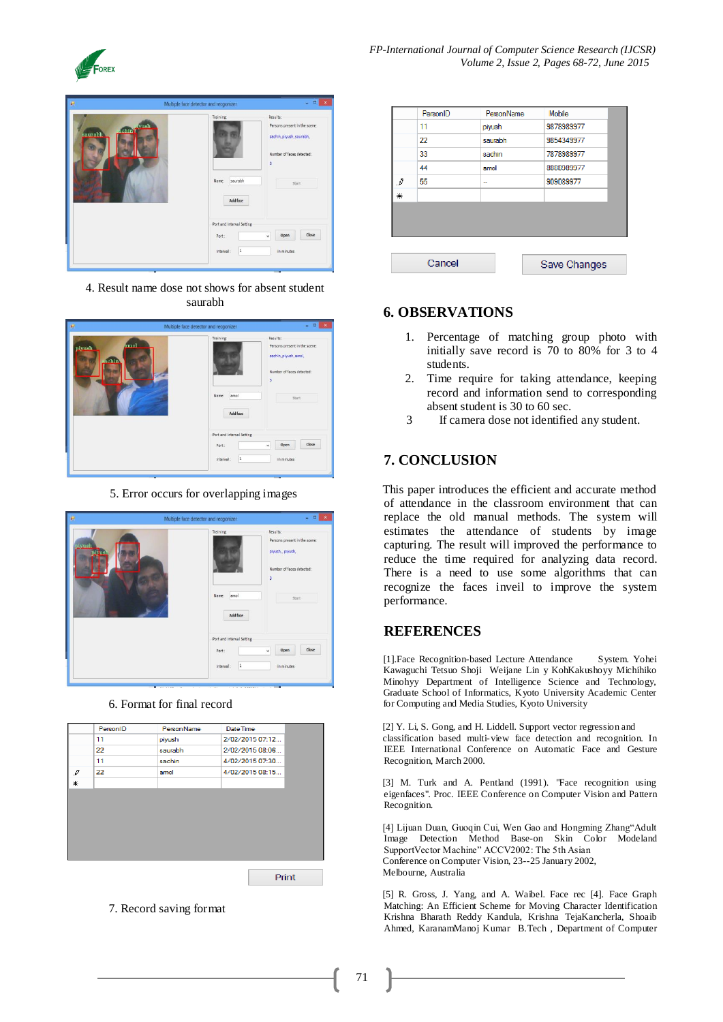



4. Result name dose not shows for absent student saurabh



5. Error occurs for overlapping images



6. Format for final record

| 11<br>piyush<br>22<br>saurabh<br>11<br>sachin<br>$\mathcal{I}$<br>22<br>amol<br>* | PersonID | Person Name | Date Time       |
|-----------------------------------------------------------------------------------|----------|-------------|-----------------|
|                                                                                   |          |             | 2/02/2015 07:12 |
|                                                                                   |          |             | 2/02/2015 08:06 |
|                                                                                   |          |             | 4/02/2015 07:30 |
|                                                                                   |          |             | 4/02/2015 08:15 |
|                                                                                   |          |             |                 |
|                                                                                   |          |             |                 |
|                                                                                   |          |             |                 |
|                                                                                   |          |             |                 |
|                                                                                   |          |             |                 |
|                                                                                   |          |             |                 |
|                                                                                   |          |             |                 |

7. Record saving format

|                                                                                     | PersonID | PersonName | Mobile       |  |
|-------------------------------------------------------------------------------------|----------|------------|--------------|--|
|                                                                                     | 11       | piyush     | 9878989977   |  |
|                                                                                     | 22       | saurabh    | 9854349977   |  |
|                                                                                     | 33       | sachin     | 7878989977   |  |
|                                                                                     | 44       | amol       | 8888989977   |  |
| $\mathcal{J}% _{0}=\mathcal{J}_{\mathrm{CL}}\left( \mathcal{I}_{0}\right) ^{\ast }$ | 55       |            | 909089977    |  |
| ₩                                                                                   |          |            |              |  |
|                                                                                     |          |            |              |  |
|                                                                                     |          |            |              |  |
|                                                                                     |          |            |              |  |
|                                                                                     |          |            |              |  |
|                                                                                     | Cancel   |            | Save Changes |  |
|                                                                                     |          |            |              |  |

# **6. OBSERVATIONS**

- 1. Percentage of matching group photo with initially save record is 70 to 80% for 3 to 4 students.
- 2. Time require for taking attendance, keeping record and information send to corresponding absent student is 30 to 60 sec.
- 3 If camera dose not identified any student.

# **7. CONCLUSION**

This paper introduces the efficient and accurate method of attendance in the classroom environment that can replace the old manual methods. The system will estimates the attendance of students by image capturing. The result will improved the performance to reduce the time required for analyzing data record. There is a need to use some algorithms that can recognize the faces inveil to improve the system performance.

# **REFERENCES**

[1].Face Recognition-based Lecture Attendance System. Yohei Kawaguchi Tetsuo Shoji Weijane Lin y KohKakushoyy Michihiko Minohyy Department of Intelligence Science and Technology, Graduate School of Informatics, Kyoto University Academic Center for Computing and Media Studies, Kyoto University

[2] Y. Li, S. Gong, and H. Liddell. Support vector regression and classification based multi-view face detection and recognition. In IEEE International Conference on Automatic Face and Gesture Recognition, March 2000.

[3] M. Turk and A. Pentland (1991). 'Face recognition using eigenfaces". Proc. IEEE Conference on Computer Vision and Pattern Recognition.

[4] Lijuan Duan, Guoqin Cui, Wen Gao and Hongming Zhang"Adult Image Detection Method Base-on Skin Color Modeland SupportVector Machine" ACCV2002: The 5th Asian Conference on Computer Vision, 23--25 January 2002, Melbourne, Australia

[5] R. Gross, J. Yang, and A. Waibel. Face rec [4]. Face Graph Matching: An Efficient Scheme for Moving Character Identification Krishna Bharath Reddy Kandula, Krishna TejaKancherla, Shoaib Ahmed, KaranamManoj Kumar B.Tech , Department of Computer